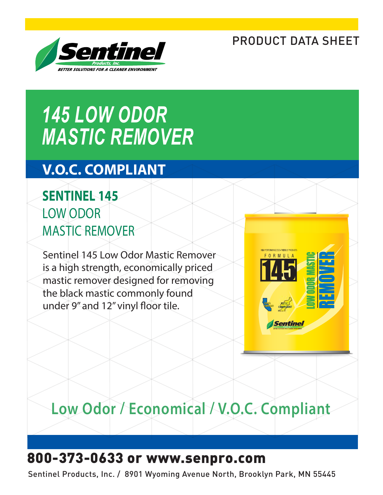### PRODUCT DATA SHEET



# *145 LOW ODOR MASTIC REMOVER*

### **V.O.C. COMPLIANT**

### **SENTINEL 145** LOW ODOR MASTIC REMOVER

Sentinel 145 Low Odor Mastic Remover is a high strength, economically priced mastic remover designed for removing the black mastic commonly found under 9" and 12" vinyl floor tile.



## **Low Odor / Economical / V.O.C. Compliant**

### 800-373-0633 or www.senpro.com

Sentinel Products, Inc. / 8901 Wyoming Avenue North, Brooklyn Park, MN 55445